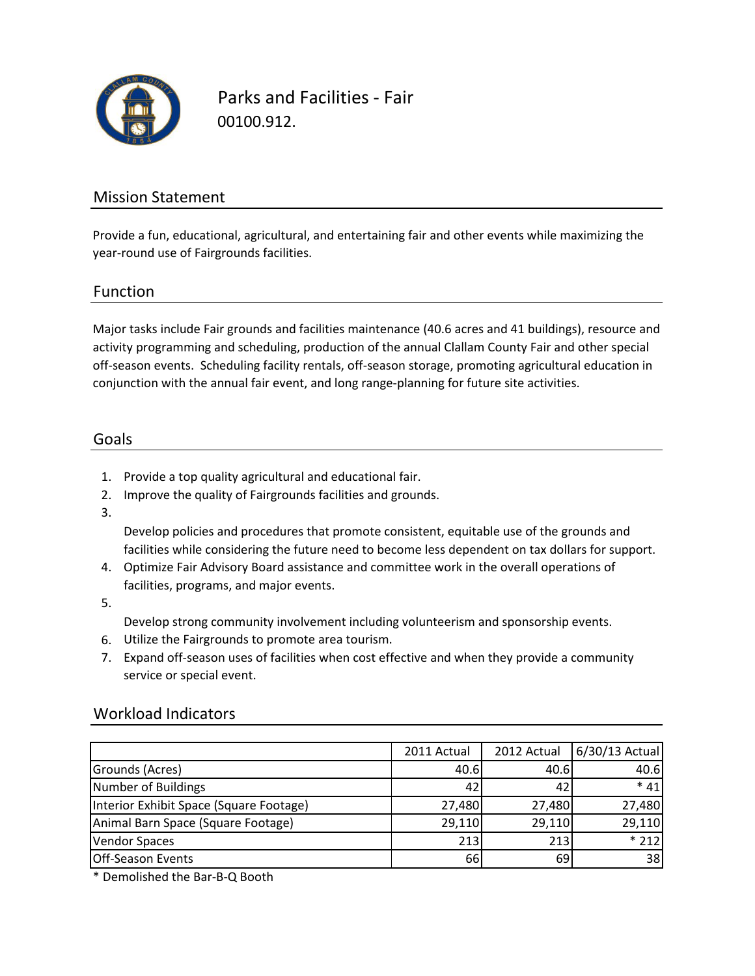

Parks and Facilities - Fair 00100.912.

## Mission Statement

Provide a fun, educational, agricultural, and entertaining fair and other events while maximizing the year-round use of Fairgrounds facilities.

### Function

Major tasks include Fair grounds and facilities maintenance (40.6 acres and 41 buildings), resource and activity programming and scheduling, production of the annual Clallam County Fair and other special off-season events. Scheduling facility rentals, off-season storage, promoting agricultural education in conjunction with the annual fair event, and long range-planning for future site activities.

#### Goals

- 1. Provide a top quality agricultural and educational fair.
- 2. Improve the quality of Fairgrounds facilities and grounds.
- 3.

Develop policies and procedures that promote consistent, equitable use of the grounds and facilities while considering the future need to become less dependent on tax dollars for support.

- 4. Optimize Fair Advisory Board assistance and committee work in the overall operations of facilities, programs, and major events.
- 5.

Develop strong community involvement including volunteerism and sponsorship events.

- 6. Utilize the Fairgrounds to promote area tourism.
- 7. Expand off-season uses of facilities when cost effective and when they provide a community service or special event.

### Workload Indicators

|                                         | 2011 Actual | 2012 Actual | $6/30/13$ Actual |
|-----------------------------------------|-------------|-------------|------------------|
| Grounds (Acres)                         | 40.6        | 40.6I       | 40.6             |
| Number of Buildings                     | 42          | 42          | $*41$            |
| Interior Exhibit Space (Square Footage) | 27,480      | 27,480      | 27,480           |
| Animal Barn Space (Square Footage)      | 29,110      | 29,110      | 29,110           |
| <b>Vendor Spaces</b>                    | 213         | 213         | $*212$           |
| <b>Off-Season Events</b>                | 66          | 69          | 38               |

\* Demolished the Bar-B-Q Booth